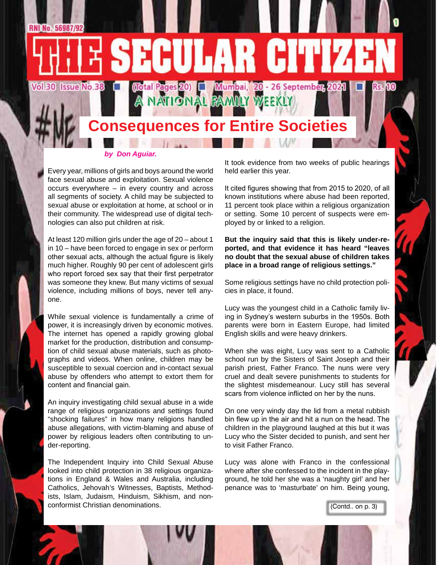

### **Consequences for Entire Societies**

#### *by Don Aguiar.*

Every year, millions of girls and boys around the world face sexual abuse and exploitation. Sexual violence occurs everywhere – in every country and across all segments of society. A child may be subjected to sexual abuse or exploitation at home, at school or in their community. The widespread use of digital technologies can also put children at risk.

At least 120 million girls under the age of 20 – about 1 in 10 – have been forced to engage in sex or perform other sexual acts, although the actual figure is likely much higher. Roughly 90 per cent of adolescent girls who report forced sex say that their first perpetrator was someone they knew. But many victims of sexual violence, including millions of boys, never tell anyone.

While sexual violence is fundamentally a crime of power, it is increasingly driven by economic motives. The internet has opened a rapidly growing global market for the production, distribution and consumption of child sexual abuse materials, such as photographs and videos. When online, children may be susceptible to sexual coercion and in-contact sexual abuse by offenders who attempt to extort them for content and financial gain.

An inquiry investigating child sexual abuse in a wide range of religious organizations and settings found "shocking failures" in how many religions handled abuse allegations, with victim-blaming and abuse of power by religious leaders often contributing to under-reporting.

The Independent Inquiry into Child Sexual Abuse looked into child protection in 38 religious organizations in England & Wales and Australia, including Catholics, Jehovah's Witnesses, Baptists, Methodists, Islam, Judaism, Hinduism, Sikhism, and nonconformist Christian denominations.

It took evidence from two weeks of public hearings held earlier this year.

It cited figures showing that from 2015 to 2020, of all known institutions where abuse had been reported, 11 percent took place within a religious organization or setting. Some 10 percent of suspects were employed by or linked to a religion.

**But the inquiry said that this is likely under-reported, and that evidence it has heard "leaves no doubt that the sexual abuse of children takes place in a broad range of religious settings."**

Some religious settings have no child protection policies in place, it found.

Lucy was the youngest child in a Catholic family living in Sydney's western suburbs in the 1950s. Both parents were born in Eastern Europe, had limited English skills and were heavy drinkers.

When she was eight, Lucy was sent to a Catholic school run by the Sisters of Saint Joseph and their parish priest, Father Franco. The nuns were very cruel and dealt severe punishments to students for the slightest misdemeanour. Lucy still has several scars from violence inflicted on her by the nuns.

On one very windy day the lid from a metal rubbish bin flew up in the air and hit a nun on the head. The children in the playground laughed at this but it was Lucy who the Sister decided to punish, and sent her to visit Father Franco.

Lucy was alone with Franco in the confessional where after she confessed to the incident in the playground, he told her she was a 'naughty girl' and her penance was to 'masturbate' on him. Being young,

(Contd.. on p. 3)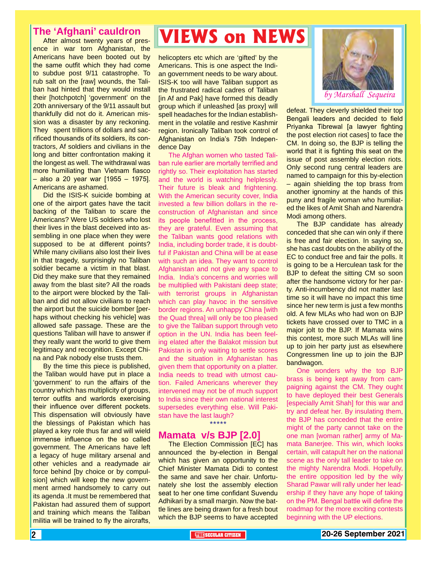### **The 'Afghani' cauldron**

After almost twenty years of presence in war torn Afghanistan, the Americans have been booted out by the same outfit which they had come to subdue post 9/11 catastrophe. To rub salt on the [raw] wounds, the Taliban had hinted that they would install their [hotchpotch] 'government' on the 20th anniversary of the 9/11 assault but thankfully did not do it. American mission was a disaster by any reckoning. They spent trillions of dollars and sacrificed thousands of its soldiers, its contractors, Af soldiers and civilians in the long and bitter confrontation making it the longest as well. The withdrawal was more humiliating than Vietnam fiasco – also a 20 year war [1955 – 1975]. Americans are ashamed.

Did the ISIS-K suicide bombing at one of the airport gates have the tacit backing of the Taliban to scare the Americans? Were US soldiers who lost their lives in the blast deceived into assembling in one place when they were supposed to be at different points? While many civilians also lost their lives in that tragedy, surprisingly no Taliban soldier became a victim in that blast. Did they make sure that they remained away from the blast site? All the roads to the airport were blocked by the Taliban and did not allow civilians to reach the airport but the suicide bomber [perhaps without checking his vehicle] was allowed safe passage. These are the questions Taliban will have to answer if they really want the world to give them legitimacy and recognition. Except China and Pak nobody else trusts them.

By the time this piece is published, the Taliban would have put in place a 'government' to run the affairs of the country which has multiplicity of groups, terror outfits and warlords exercising their influence over different pockets. This dispensation will obviously have the blessings of Pakistan which has played a key role thus far and will wield immense influence on the so called government. The Americans have left a legacy of huge military arsenal and other vehicles and a readymade air force behind [by choice or by compulsion] which will keep the new government armed handsomely to carry out its agenda .It must be remembered that Pakistan had assured them of support and training which means the Taliban militia will be trained to fly the aircrafts,

### **VIEWS on NEWS**

helicopters etc which are 'gifted' by the Americans. This is one aspect the Indian government needs to be wary about. ISIS-K too will have Taliban support as the frustrated radical cadres of Taliban [in Af and Pak] have formed this deadly group which if unleashed [as proxy] will spell headaches for the Indian establishment in the volatile and restive Kashmir region. Ironically Taliban took control of Afghanistan on India's 75th Independence Day

The Afghan women who tasted Taliban rule earlier are mortally terrified and rightly so. Their exploitation has started and the world is watching helplessly. Their future is bleak and frightening. With the American security cover, India invested a few billion dollars in the reconstruction of Afghanistan and since its people benefitted in the process, they are grateful. Even assuming that the Taliban wants good relations with India, including border trade, it is doubtful if Pakistan and China will be at ease with such an idea. They want to control Afghanistan and not give any space to India. India's concerns and worries will be multiplied with Pakistani deep state; with terrorist groups in Afghanistan which can play havoc in the sensitive border regions. An unhappy China [with the Quad threa] will only be too pleased to give the Taliban support through veto option in the UN. India has been feeling elated after the Balakot mission but Pakistan is only waiting to settle scores and the situation in Afghanistan has given them that opportunity on a platter. India needs to tread with utmost caution. Failed Americans wherever they intervened may not be of much support to India since their own national interest supersedes everything else. Will Pakistan have the last laugh?

\*\*\*\*\*

### **Mamata v/s BJP [2.0]**

The Election Commission [EC] has announced the by-election in Bengal which has given an opportunity to the Chief Minister Mamata Didi to contest the same and save her chair. Unfortunately she lost the assembly election seat to her one time confidant Suvendu Adhikari by a small margin. Now the battle lines are being drawn for a fresh bout which the BJP seems to have accepted



defeat. They cleverly shielded their top Bengali leaders and decided to field Priyanka Tibrewal [a lawyer fighting the post election riot cases] to face the CM. In doing so, the BJP is telling the world that it is fighting this seat on the issue of post assembly election riots. Only second rung central leaders are named to campaign for this by-election – again shielding the top brass from another ignominy at the hands of this puny and fragile woman who humiliated the likes of Amit Shah and Narendra Modi among others.

The BJP candidate has already conceded that she can win only if there is free and fair election. In saying so, she has cast doubts on the ability of the EC to conduct free and fair the polls. It is going to be a Herculean task for the BJP to defeat the sitting CM so soon after the handsome victory for her party. Anti-incumbency did not matter last time so it will have no impact this time since her new term is just a few months old. A few MLAs who had won on BJP tickets have crossed over to TMC in a major jolt to the BJP. If Mamata wins this contest, more such MLAs will line up to join her party just as elsewhere Congressmen line up to join the BJP bandwagon.

One wonders why the top BJP brass is being kept away from campaigning against the CM. They ought to have deployed their best Generals [especially Amit Shah] for this war and try and defeat her. By insulating them, the BJP has conceded that the entire might of the party cannot take on the one man [woman rather] army of Mamata Banerjee. This win, which looks certain, will catapult her on the national scene as the only tall leader to take on the mighty Narendra Modi. Hopefully, the entire opposition led by the wily Sharad Pawar will rally under her leadership if they have any hope of taking on the PM. Bengal battle will define the roadmap for the more exciting contests beginning with the UP elections.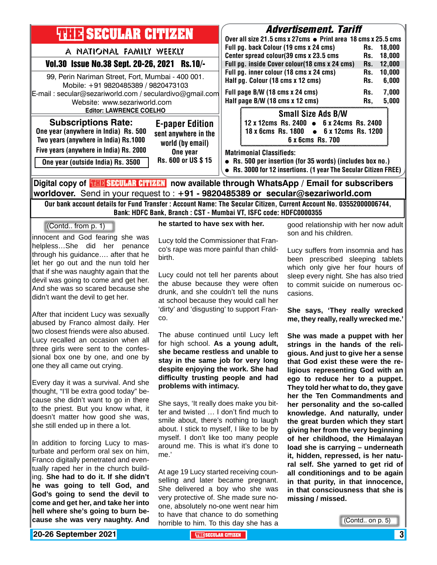| <b>THIR SECULAR CITIZEN</b>                                                                                               |                                                                    | <b>Advertisement. Tariff</b><br>Over all size 21.5 cms x 27cms ● Print area 18 cms x 25.5 cms                                                                   |                                                                                                         |                   |                         |  |
|---------------------------------------------------------------------------------------------------------------------------|--------------------------------------------------------------------|-----------------------------------------------------------------------------------------------------------------------------------------------------------------|---------------------------------------------------------------------------------------------------------|-------------------|-------------------------|--|
| A NATIONAL FAMILY WEEKLY                                                                                                  |                                                                    |                                                                                                                                                                 | Full pg. back Colour (19 cms x 24 cms)<br>Center spread colour(39 cms x 23.5 cms                        |                   | 18,000<br>Rs.<br>18,000 |  |
| Vol.30 Issue No.38 Sept. 20-26, 2021 Rs.10/-                                                                              |                                                                    | Full pg. inside Cover colour(18 cms x 24 cms)                                                                                                                   |                                                                                                         | Rs.<br>Rs.        | 12,000                  |  |
| 99, Perin Nariman Street, Fort, Mumbai - 400 001.<br>Mobile: +91 9820485389 / 9820473103                                  |                                                                    |                                                                                                                                                                 | Full pg. inner colour (18 cms x 24 cms)<br>Half pg. Colour (18 cms x 12 cms)                            | Rs.<br>Rs.<br>Rs. | 10,000<br>6,000         |  |
| E-mail: secular@sezariworld.com / seculardivo@gmail.com<br>Website: www.sezariworld.com<br><b>Editor: LAWRENCE COELHO</b> |                                                                    |                                                                                                                                                                 | Full page B/W (18 cms x 24 cms)<br>Half page B/W (18 cms x 12 cms)                                      |                   | 7,000<br>5,000          |  |
|                                                                                                                           |                                                                    |                                                                                                                                                                 | <b>Small Size Ads B/W</b>                                                                               | Rs,               |                         |  |
| <b>Subscriptions Rate:</b><br>One year (anywhere in India) Rs. 500<br>Two years (anywhere in India) Rs.1000               | <b>E-paper Edition</b><br>sent anywhere in the<br>world (by email) |                                                                                                                                                                 | 12 x 12cms Rs. 2400 • 6 x 24cms Rs. 2400<br>18 x 6cms Rs. 1800 • 6 x 12cms Rs. 1200<br>6 x 6cms Rs. 700 |                   |                         |  |
| Five years (anywhere in India) Rs. 2000<br>One year (outside India) Rs. 3500                                              | One year<br>Rs. 600 or US \$15                                     | <b>Matrimonial Classifieds:</b><br>• Rs. 500 per insertion (for 35 words) (includes box no.)<br>• Rs. 3000 for 12 insertions. (1 year The Secular Citizen FREE) |                                                                                                         |                   |                         |  |
| Digital copy of <mark>珊瞎SECULAR CITIZEN</mark> now available through WhatsApp/Email for subscribers                       |                                                                    |                                                                                                                                                                 |                                                                                                         |                   |                         |  |
| worldover. Send in your request to : $+91$ - 9820485389 or secular@sezariworld.com                                        |                                                                    |                                                                                                                                                                 |                                                                                                         |                   |                         |  |
| Our bank account details for Fund Transfer : Account Name: The Secular Citizen, Current Account No. 03552000006744,       |                                                                    |                                                                                                                                                                 |                                                                                                         |                   |                         |  |

Bank: HDFC Bank, Branch : CST - Mumbai VT, ISFC code: HDFC0000355

### (Contd.. from p. 1)

innocent and God fearing she was helpless…She did her penance through his guidance…. after that he let her go out and the nun told her that if she was naughty again that the devil was going to come and get her. And she was so scared because she didn't want the devil to get her.

After that incident Lucy was sexually abused by Franco almost daily. Her two closest friends were also abused. Lucy recalled an occasion when all three girls were sent to the confessional box one by one, and one by one they all came out crying.

Every day it was a survival. And she thought, "I'll be extra good today" because she didn't want to go in there to the priest. But you know what, it doesn't matter how good she was, she still ended up in there a lot.

In addition to forcing Lucy to masturbate and perform oral sex on him, Franco digitally penetrated and eventually raped her in the church building. **She had to do it. If she didn't he was going to tell God, and God's going to send the devil to come and get her, and take her into hell where she's going to burn because she was very naughty. And** 

#### **he started to have sex with her.**

Lucy told the Commissioner that Franco's rape was more painful than childbirth.

Lucy could not tell her parents about the abuse because they were often drunk, and she couldn't tell the nuns at school because they would call her 'dirty' and 'disgusting' to support Franco.

The abuse continued until Lucy left for high school. **As a young adult, she became restless and unable to stay in the same job for very long despite enjoying the work. She had difficulty trusting people and had problems with intimacy.**

She says, 'It really does make you bitter and twisted … I don't find much to smile about, there's nothing to laugh about. I stick to myself, I like to be by myself. I don't like too many people around me. This is what it's done to me.'

At age 19 Lucy started receiving counselling and later became pregnant. She delivered a boy who she was very protective of. She made sure noone, absolutely no-one went near him to have that chance to do something horrible to him. To this day she has a good relationship with her now adult son and his children.

Lucy suffers from insomnia and has been prescribed sleeping tablets which only give her four hours of sleep every night. She has also tried to commit suicide on numerous occasions.

**She says, 'They really wrecked me, they really, really wrecked me.'**

**She was made a puppet with her strings in the hands of the religious. And just to give her a sense that God exist these were the religious representing God with an ego to reduce her to a puppet. They told her what to do, they gave her the Ten Commandments and her personality and the so-called knowledge. And naturally, under the great burden which they start giving her from the very beginning of her childhood, the Himalayan load she is carrying – underneath it, hidden, repressed, is her natural self. She yarned to get rid of all conditionings and to be again in that purity, in that innocence, in that consciousness that she is missing / missed.**

```
(Contd.. on p. 5)
```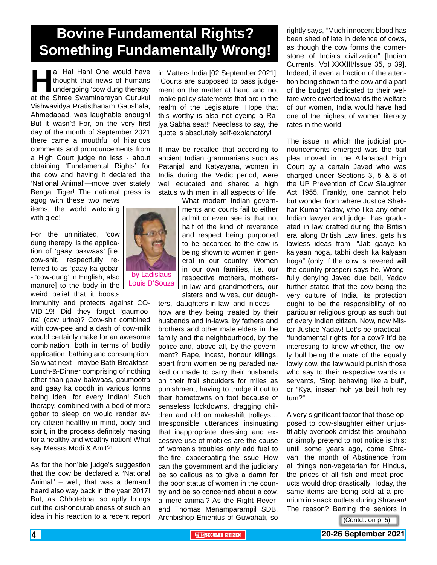### **Bovine Fundamental Rights? Something Fundamentally Wrong!**

a! Ha! Hah! One would have thought that news of humans undergoing 'cow dung therapy' at the Shree Swaminarayan Gurukul thought that news of humans undergoing 'cow dung therapy' Vishwavidya Pratisthanam Gaushala, Ahmedabad, was laughable enough! But it wasn't! For, on the very first day of the month of September 2021 there came a mouthful of hilarious comments and pronouncements from a High Court judge no less - about obtaining 'Fundamental Rights' for the cow and having it declared the 'National Animal'—move over stately Bengal Tiger! The national press is

agog with these two news items, the world watching with glee!

For the uninitiated, 'cow dung therapy' is the application of 'gaay bakwaas' [i.e. cow-shit, respectfully referred to as 'gaay ka gobar' - 'cow-dung' in English, also manure] to the body in the weird belief that it boosts

immunity and protects against CO-VID-19! Did they forget 'gaumootra' (cow urine)? Cow-shit combined with cow-pee and a dash of cow-milk would certainly make for an awesome combination, both in terms of bodily application, bathing and consumption. So what next - maybe Bath-Breakfast-Lunch-&-Dinner comprising of nothing other than gaay bakwaas, gaumootra and gaay ka doodh in various forms being ideal for every Indian! Such therapy, combined with a bed of more gobar to sleep on would render every citizen healthy in mind, body and spirit, in the process definitely making for a healthy and wealthy nation! What say Messrs Modi & Amit?!

As for the hon'ble judge's suggestion that the cow be declared a "National Animal" – well, that was a demand heard also way back in the year 2017! But, as Chhotebhai so aptly brings out the dishonourableness of such an idea in his reaction to a recent report

in Matters India [02 September 2021], "Courts are supposed to pass judgement on the matter at hand and not make policy statements that are in the realm of the Legislature. Hope that this worthy is also not eyeing a Rajya Sabha seat!" Needless to say, the quote is absolutely self-explanatory!

It may be recalled that according to ancient Indian grammarians such as Patanjali and Katyayana, women in India during the Vedic period, were well educated and shared a high status with men in all aspects of life.

> What modern Indian governments and courts fail to either admit or even see is that not half of the kind of reverence and respect being purported to be accorded to the cow is being shown to women in general in our country. Women in our own families, i.e. our respective mothers, mothersin-law and grandmothers, our sisters and wives, our daugh-

ters, daughters-in-law and nieces – how are they being treated by their husbands and in-laws, by fathers and brothers and other male elders in the family and the neighbourhood, by the police and, above all, by the government? Rape, incest, honour killings, apart from women being paraded naked or made to carry their husbands on their frail shoulders for miles as punishment, having to trudge it out to their hometowns on foot because of senseless lockdowns, dragging children and old on makeshift trolleys… Irresponsible utterances insinuating that inappropriate dressing and excessive use of mobiles are the cause of women's troubles only add fuel to the fire, exacerbating the issue. How can the government and the judiciary be so callous as to give a damn for the poor status of women in the country and be so concerned about a cow, a mere animal? As the Right Reverend Thomas Menamparampil SDB, Archbishop Emeritus of Guwahati, so

rightly says, "Much innocent blood has been shed of late in defence of cows, as though the cow forms the cornerstone of India's civilization" [Indian Currents, Vol XXXIII/Issue 35, p 39]. Indeed, if even a fraction of the attention being shown to the cow and a part of the budget dedicated to their welfare were diverted towards the welfare of our women, India would have had one of the highest of women literacy rates in the world!

The issue in which the judicial pronouncements emerged was the bail plea moved in the Allahabad High Court by a certain Javed who was charged under Sections 3, 5 & 8 of the UP Prevention of Cow Slaughter Act 1955. Frankly, one cannot help but wonder from where Justice Shekhar Kumar Yadav, who like any other Indian lawyer and judge, has graduated in law drafted during the British era along British Law lines, gets his lawless ideas from! "Jab gaaye ka kalyaan hoga, tabhi desh ka kalyaan hoga" (only if the cow is revered will the country prosper) says he. Wrongfully denying Javed due bail, Yadav further stated that the cow being the very culture of India, its protection ought to be the responsibility of no particular religious group as such but of every Indian citizen. Now, now Mister Justice Yadav! Let's be practical – 'fundamental rights' for a cow? It'd be interesting to know whether, the lowly bull being the mate of the equally lowly cow, the law would punish those who say to their respective wards or servants, "Stop behaving like a bull", or "Kya, insaan hoh ya baiil hoh rey tum?"!

A very significant factor that those opposed to cow-slaughter either unjustifiably overlook amidst this brouhaha or simply pretend to not notice is this: until some years ago, come Shravan, the month of Abstinence from all things non-vegetarian for Hindus, the prices of all fish and meat products would drop drastically. Today, the same items are being sold at a premium in snack outlets during Shravan! The reason? Barring the seniors in

(Contd.. on p. 5)

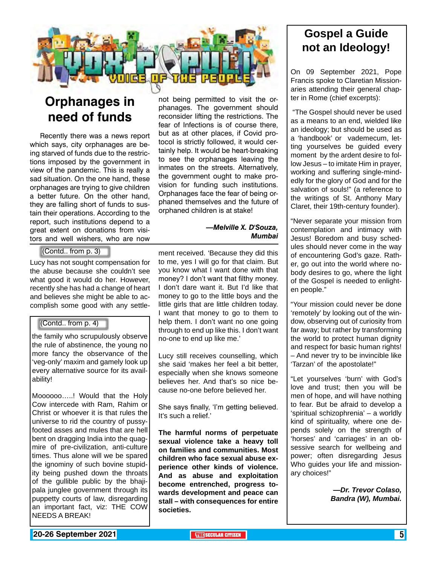

### **Orphanages in need of funds**

Recently there was a news report which says, city orphanages are being starved of funds due to the restrictions imposed by the government in view of the pandemic. This is really a sad situation. On the one hand, these orphanages are trying to give children a better future. On the other hand, they are falling short of funds to sustain their operations. According to the report, such institutions depend to a great extent on donations from visitors and well wishers, who are now

### (Contd.. from p. 3)

Lucy has not sought compensation for the abuse because she couldn't see what good it would do her. However, recently she has had a change of heart and believes she might be able to accomplish some good with any settle-

#### (Contd.. from p. 4)

the family who scrupulously observe the rule of abstinence, the young no more fancy the observance of the 'veg-only' maxim and gamely look up every alternative source for its availability!

Moooooo…..! Would that the Holy Cow intercede with Ram, Rahim or Christ or whoever it is that rules the universe to rid the country of pussyfooted asses and mules that are hell bent on dragging India into the quagmire of pre-civilization, anti-culture times. Thus alone will we be spared the ignominy of such bovine stupidity being pushed down the throats of the gullible public by the bhajipala junglee government through its puppetty courts of law, disregarding an important fact, viz: THE COW NEEDS A BREAK!

not being permitted to visit the orphanages. The government should reconsider lifting the restrictions. The fear of Infections is of course there, but as at other places, if Covid protocol is strictly followed, it would certainly help. It would be heart-breaking to see the orphanages leaving the inmates on the streets. Alternatively, the government ought to make provision for funding such institutions. Orphanages face the fear of being orphaned themselves and the future of orphaned children is at stake!

#### *—Melville X. D'Souza, Mumbai*

ment received. 'Because they did this to me, yes I will go for that claim. But you know what I want done with that money? I don't want that filthy money. I don't dare want it. But I'd like that money to go to the little boys and the little girls that are little children today. I want that money to go to them to help them. I don't want no one going through to end up like this. I don't want no-one to end up like me.'

Lucy still receives counselling, which she said 'makes her feel a bit better, especially when she knows someone believes her. And that's so nice because no-one before believed her.

She says finally, 'I'm getting believed. It's such a relief.'

**The harmful norms of perpetuate sexual violence take a heavy toll on families and communities. Most children who face sexual abuse experience other kinds of violence. And as abuse and exploitation become entrenched, progress towards development and peace can stall – with consequences for entire societies.**

### **Gospel a Guide not an Ideology!**

On 09 September 2021, Pope Francis spoke to Claretian Missionaries attending their general chapter in Rome (chief excerpts):

 "The Gospel should never be used as a means to an end, wielded like an ideology; but should be used as a 'handbook' or vademecum, letting yourselves be guided every moment by the ardent desire to follow Jesus – to imitate Him in prayer, working and suffering single-mindedly for the glory of God and for the salvation of souls!" (a reference to the writings of St. Anthony Mary Claret, their 19th-century founder).

"Never separate your mission from contemplation and intimacy with Jesus! Boredom and busy schedules should never come in the way of encountering God's gaze. Rather, go out into the world where nobody desires to go, where the light of the Gospel is needed to enlighten people."

"Your mission could never be done 'remotely' by looking out of the window, observing out of curiosity from far away; but rather by transforming the world to protect human dignity and respect for basic human rights! – And never try to be invincible like 'Tarzan' of the apostolate!"

"Let yourselves 'burn' with God's love and trust; then you will be men of hope, and will have nothing to fear. But be afraid to develop a 'spiritual schizophrenia' – a worldly kind of spirituality, where one depends solely on the strength of 'horses' and 'carriages' in an obsessive search for wellbeing and power; often disregarding Jesus Who guides your life and missionary choices!"

> *—Dr. Trevor Colaso, Bandra (W), Mumbai.*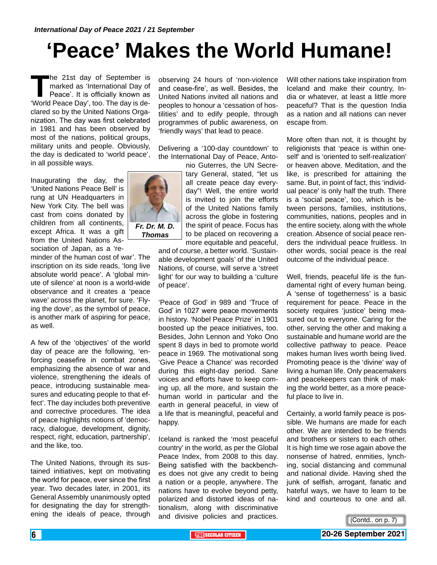## **'Peace' Makes the World Humane!**

The 21st day of September is<br>marked as 'International Day of<br>Peace'. It is officially known as<br>'World Peace Day'. too. The day is demarked as 'International Day of Peace'. It is officially known as 'World Peace Day', too. The day is declared so by the United Nations Organization. The day was first celebrated in 1981 and has been observed by most of the nations, political groups, military units and people. Obviously, the day is dedicated to 'world peace', in all possible ways.

Inaugurating the day, the 'United Nations Peace Bell' is rung at UN Headquarters in New York City. The bell was cast from coins donated by children from all continents, except Africa. It was a gift from the United Nations Association of Japan, as a 're-

minder of the human cost of war'. The inscription on its side reads, 'long live absolute world peace'. A 'global minute of silence' at noon is a world-wide observance and it creates a 'peace wave' across the planet, for sure. 'Flying the dove', as the symbol of peace, is another mark of aspiring for peace, as well.

A few of the 'objectives' of the world day of peace are the following, 'enforcing ceasefire in combat zones, emphasizing the absence of war and violence, strengthening the ideals of peace, introducing sustainable measures and educating people to that effect'. The day includes both preventive and corrective procedures. The idea of peace highlights notions of 'democracy, dialogue, development, dignity, respect, right, education, partnership', and the like, too.

The United Nations, through its sustained initiatives, kept on motivating the world for peace, ever since the first year. Two decades later, in 2001, its General Assembly unanimously opted for designating the day for strengthening the ideals of peace, through

observing 24 hours of 'non-violence and cease-fire', as well. Besides, the United Nations invited all nations and peoples to honour a 'cessation of hostilities' and to edify people, through programmes of public awareness, on 'friendly ways' that lead to peace.

Delivering a '100-day countdown' to the International Day of Peace, Anto-

nio Guterres, the UN Secretary General, stated, "let us all create peace day everyday"! Well, the entire world is invited to join the efforts of the United Nations family across the globe in fostering the spirit of peace. Focus has to be placed on recovering a *Fr. Dr. M. D. Thomas*

> more equitable and peaceful, and of course, a better world. 'Sustainable development goals' of the United Nations, of course, will serve a 'street light' for our way to building a 'culture of peace'.

'Peace of God' in 989 and 'Truce of God' in 1027 were peace movements in history. 'Nobel Peace Prize' in 1901 boosted up the peace initiatives, too. Besides, John Lennon and Yoko Ono spent 8 days in bed to promote world peace in 1969. The motivational song 'Give Peace a Chance' was recorded during this eight-day period. Sane voices and efforts have to keep coming up, all the more, and sustain the human world in particular and the earth in general peaceful, in view of a life that is meaningful, peaceful and happy.

Iceland is ranked the 'most peaceful country' in the world, as per the Global Peace Index, from 2008 to this day. Being satisfied with the backbenches does not give any credit to being a nation or a people, anywhere. The nations have to evolve beyond petty, polarized and distorted ideas of nationalism, along with discriminative and divisive policies and practices. Will other nations take inspiration from Iceland and make their country, India or whatever, at least a little more peaceful? That is the question India as a nation and all nations can never escape from.

More often than not, it is thought by religionists that 'peace is within oneself' and is 'oriented to self-realization' or heaven above. Meditation, and the like, is prescribed for attaining the same. But, in point of fact, this 'individual peace' is only half the truth. There is a 'social peace', too, which is between persons, families, institutions, communities, nations, peoples and in the entire society, along with the whole creation. Absence of social peace renders the individual peace fruitless. In other words, social peace is the real outcome of the individual peace.

Well, friends, peaceful life is the fundamental right of every human being. A 'sense of togetherness' is a basic requirement for peace. Peace in the society requires 'justice' being measured out to everyone. Caring for the other, serving the other and making a sustainable and humane world are the collective pathway to peace. Peace makes human lives worth being lived. Promoting peace is the 'divine' way of living a human life. Only peacemakers and peacekeepers can think of making the world better, as a more peaceful place to live in.

Certainly, a world family peace is possible. We humans are made for each other. We are intended to be friends and brothers or sisters to each other. It is high time we rose again above the nonsense of hatred, enmities, lynching, social distancing and communal and national divide. Having shed the junk of selfish, arrogant, fanatic and hateful ways, we have to learn to be kind and courteous to one and all.



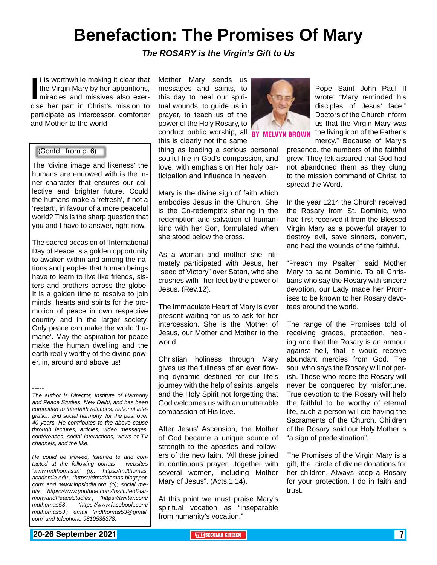### **Benefaction: The Promises Of Mary**

*The ROSARY is the Virgin's Gift to Us*

It is worthwhile making it clear that<br>the Virgin Mary by her apparitions,<br>miracles and missives also exer-<br>cise her part in Christ's mission to t is worthwhile making it clear that the Virgin Mary by her apparitions, miracles and missives also exerparticipate as intercessor, comforter and Mother to the world.

### (Contd.. from p. 6)

The 'divine image and likeness' the humans are endowed with is the inner character that ensures our collective and brighter future. Could the humans make a 'refresh', if not a 'restart', in favour of a more peaceful world? This is the sharp question that you and I have to answer, right now.

The sacred occasion of 'International Day of Peace' is a golden opportunity to awaken within and among the nations and peoples that human beings have to learn to live like friends, sisters and brothers across the globe. It is a golden time to resolve to join minds, hearts and spirits for the promotion of peace in own respective country and in the larger society. Only peace can make the world 'humane'. May the aspiration for peace make the human dwelling and the earth really worthy of the divine power, in, around and above us!

*He could be viewed, listened to and contacted at the following portals – websites 'www.mdthomas.in' (p), 'https://mdthomas. academia.edu', 'https://drmdthomas.blogspot. com' and 'www.ihpsindia.org' (o); social media 'https://www.youtube.com/InstituteofHarmonyandPeaceStudies', 'https://twitter.com/ mdthomas53', 'https://www.facebook.com/ mdthomas53'; email 'mdthomas53@gmail. com' and telephone 9810535378.* 

Mother Mary sends us messages and saints, to this day to heal our spiritual wounds, to guide us in prayer, to teach us of the power of the Holy Rosary, to conduct public worship, all **RY** this is clearly not the same

thing as leading a serious personal soulful life in God's compassion, and love, with emphasis on Her holy participation and influence in heaven.

Mary is the divine sign of faith which embodies Jesus in the Church. She is the Co-redemptrix sharing in the redemption and salvation of humankind with her Son, formulated when she stood below the cross.

As a woman and mother she intimately participated with Jesus, her "seed of Victory" over Satan, who she crushes with her feet by the power of Jesus. (Rev.12).

The Immaculate Heart of Mary is ever present waiting for us to ask for her intercession. She is the Mother of Jesus, our Mother and Mother to the world.

Christian holiness through Mary gives us the fullness of an ever flowing dynamic destined for our life's journey with the help of saints, angels and the Holy Spirit not forgetting that God welcomes us with an unutterable compassion of His love.

After Jesus' Ascension, the Mother of God became a unique source of strength to the apostles and followers of the new faith. "All these joined in continuous prayer…together with several women, including Mother Mary of Jesus". (Acts.1:14).

At this point we must praise Mary's spiritual vocation as "inseparable from humanity's vocation."



'N BROWN

Pope Saint John Paul II wrote: "Mary reminded his disciples of Jesus' face." Doctors of the Church inform us that the Virgin Mary was the living icon of the Father's mercy." Because of Mary's

presence, the numbers of the faithful grew. They felt assured that God had not abandoned them as they clung to the mission command of Christ, to spread the Word.

In the year 1214 the Church received the Rosary from St. Dominic, who had first received it from the Blessed Virgin Mary as a powerful prayer to destroy evil, save sinners, convert, and heal the wounds of the faithful.

"Preach my Psalter," said Mother Mary to saint Dominic. To all Christians who say the Rosary with sincere devotion, our Lady made her Promises to be known to her Rosary devotees around the world.

The range of the Promises told of receiving graces, protection, healing and that the Rosary is an armour against hell, that it would receive abundant mercies from God. The soul who says the Rosary will not perish. Those who recite the Rosary will never be conquered by misfortune. True devotion to the Rosary will help the faithful to be worthy of eternal life, such a person will die having the Sacraments of the Church. Children of the Rosary, said our Holy Mother is "a sign of predestination".

The Promises of the Virgin Mary is a gift, the circle of divine donations for her children. Always keep a Rosary for your protection. I do in faith and trust.

### **20-26 September 2021 The Secular Citizen 1 and Secular Citizen 1 and Secular Citizen 1 and September 2021 7**

<sup>-----</sup> *The author is Director, Institute of Harmony and Peace Studies, New Delhi, and has been committed to interfaith relations, national integration and social harmony, for the past over 40 years. He contributes to the above cause through lectures, articles, video messages, conferences, social interactions, views at TV channels, and the like.*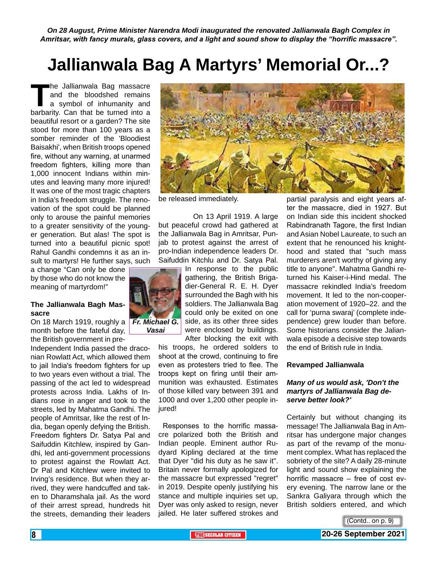*On 28 August, Prime Minister Narendra Modi inaugurated the renovated Jallianwala Bagh Complex in Amritsar, with fancy murals, glass covers, and a light and sound show to display the "horrific massacre".*

### **Jallianwala Bag A Martyrs' Memorial Or...?**

The Jallianwala Bag massacre<br>
and the bloodshed remains<br>
a symbol of inhumanity and<br>
barbarity. Can that be turned into a and the bloodshed remains a symbol of inhumanity and beautiful resort or a garden? The site stood for more than 100 years as a somber reminder of the 'Bloodiest Baisakhi', when British troops opened fire, without any warning, at unarmed freedom fighters, killing more than 1,000 innocent Indians within minutes and leaving many more injured! It was one of the most tragic chapters in India's freedom struggle. The renovation of the spot could be planned only to arouse the painful memories to a greater sensitivity of the younger generation. But alas! The spot is turned into a beautiful picnic spot! Rahul Gandhi condemns it as an insult to martyrs! He further says, such

a change "Can only be done by those who do not know the meaning of martyrdom!"

#### **The Jallianwala Bagh Massacre**

On 18 March 1919, roughly a *Fr. Michael G.*  month before the fateful day, the British government in pre-

Independent India passed the draconian Rowlatt Act, which allowed them to jail India's freedom fighters for up to two years even without a trial. The passing of the act led to widespread protests across India. Lakhs of Indians rose in anger and took to the streets, led by Mahatma Gandhi. The people of Amritsar, like the rest of India, began openly defying the British. Freedom fighters Dr. Satya Pal and Saifuddin Kitchlew, inspired by Gandhi, led anti-government processions to protest against the Rowlatt Act. Dr Pal and Kitchlew were invited to Irving's residence. But when they arrived, they were handcuffed and taken to Dharamshala jail. As the word of their arrest spread, hundreds hit the streets, demanding their leaders



be released immediately.

 On 13 April 1919. A large but peaceful crowd had gathered at the Jallianwala Bag in Amritsar, Punjab to protest against the arrest of pro-Indian independence leaders Dr. Saifuddin Kitchlu and Dr. Satya Pal.

> In response to the public gathering, the British Brigadier-General R. E. H. Dyer surrounded the Bagh with his



jured!

soldiers. The Jallianwala Bag could only be exited on one

side, as its other three sides were enclosed by buildings. After blocking the exit with his troops, he ordered solders to shoot at the crowd, continuing to fire even as protesters tried to flee. The troops kept on firing until their ammunition was exhausted. Estimates of those killed vary between 391 and 1000 and over 1,200 other people in-

Responses to the horrific massacre polarized both the British and Indian people. Eminent author Rudyard Kipling declared at the time that Dyer "did his duty as he saw it". Britain never formally apologized for the massacre but expressed "regret" in 2019. Despite openly justifying his stance and multiple inquiries set up, Dyer was only asked to resign, never jailed. He later suffered strokes and

partial paralysis and eight years after the massacre, died in 1927. But on Indian side this incident shocked Rabindranath Tagore, the first Indian and Asian Nobel Laureate, to such an extent that he renounced his knighthood and stated that "such mass murderers aren't worthy of giving any title to anyone". Mahatma Gandhi returned his Kaiser-i-Hind medal. The massacre rekindled India's freedom movement. It led to the non-cooperation movement of 1920–22. and the call for 'purna swaraj' (complete independence) grew louder than before. Some historians consider the Jalianwala episode a decisive step towards the end of British rule in India.

#### **Revamped Jallianwala**

#### *Many of us would ask, 'Don't the martyrs of Jallianwala Bag deserve better look?'*

Certainly but without changing its message! The Jallianwala Bag in Amritsar has undergone major changes as part of the revamp of the monument complex. What has replaced the sobriety of the site? A daily 28-minute light and sound show explaining the horrific massacre – free of cost every evening. The narrow lane or the Sankra Galiyara through which the British soldiers entered, and which

(Contd.. on p. 9)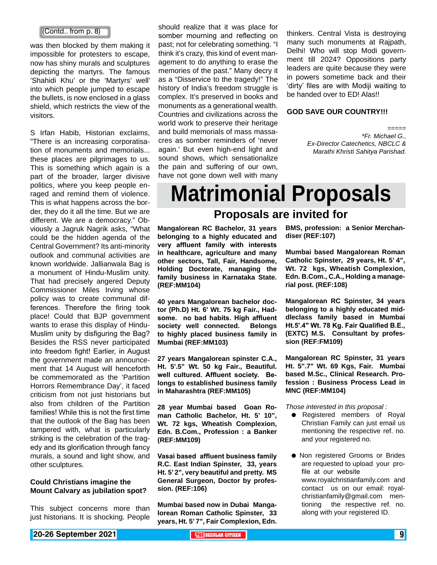was then blocked by them making it impossible for protesters to escape, now has shiny murals and sculptures depicting the martyrs. The famous 'Shahidi Khu' or the 'Martyrs' well' into which people jumped to escape the bullets, is now enclosed in a glass shield, which restricts the view of the visitors.

S Irfan Habib, Historian exclaims, "There is an increasing corporatisation of monuments and memorials... these places are pilgrimages to us. This is something which again is a part of the broader, larger divisive politics, where you keep people enraged and remind them of violence. This is what happens across the border, they do it all the time. But we are different. We are a democracy." Obviously a Jagruk Nagrik asks, "What could be the hidden agenda of the Central Government? Its anti-minority outlook and communal activities are known worldwide. Jallianwala Bag is a monument of Hindu-Muslim unity. That had precisely angered Deputy Commissioner Miles Irving whose policy was to create communal differences. Therefore the firing took place! Could that BJP government wants to erase this display of Hindu-Muslim unity by disfiguring the Bag? Besides the RSS never participated into freedom fight! Earlier, in August the government made an announcement that 14 August will henceforth be commemorated as the 'Partition Horrors Remembrance Day', it faced criticism from not just historians but also from children of the Partition families! While this is not the first time that the outlook of the Bag has been tampered with, what is particularly striking is the celebration of the tragedy and its glorification through fancy murals, a sound and light show, and other sculptures.

#### **Could Christians imagine the Mount Calvary as jubilation spot?**

This subject concerns more than just historians. It is shocking. People

should realize that it was place for somber mourning and reflecting on past; not for celebrating something. "I think it's crazy, this kind of event management to do anything to erase the memories of the past." Many decry it as a "Disservice to the tragedy!" The history of India's freedom struggle is complex. It's preserved in books and monuments as a generational wealth. Countries and civilizations across the world work to preserve their heritage and build memorials of mass massacres as somber reminders of 'never again.' But even high-end light and sound shows, which sensationalize the pain and suffering of our own, have not gone down well with many  $\begin{bmatrix} \text{Contd. from p. 8} \end{bmatrix}$  should reduce that it was place for thinkers. Central Vista is destroying

many such monuments at Rajpath, Delhi! Who will stop Modi government till 2024? Oppositions party leaders are quite because they were in powers sometime back and their 'dirty' files are with Modiji waiting to be handed over to ED! Alas!!

#### **GOD SAVE OUR COUNTRY!!!**

===== *\*Fr. Michael G., Ex-Director Catechetics, NBCLC & Marathi Khristi Sahitya Parishad.*

## **Matrimonial Proposals**

### **Proposals are invited for**

**Mangalorean RC Bachelor, 31 years belonging to a highly educated and very affluent family with interests in healthcare, agriculture and many other sectors, Tall, Fair, Handsome, Holding Doctorate, managing the family business in Karnataka State. (REF:MM104)**

**40 years Mangalorean bachelor doctor (Ph.D) Ht. 6' Wt. 75 kg Fair., Hadsome. no bad habits. High affluent society well connected. Belongs to highly placed business family in Mumbai (REF:MM103)**

**27 years Mangalorean spinster C.A., Ht. 5'.5" Wt. 50 kg Fair., Beautiful. well cultured. Affluent society. Belongs to established business family in Maharashtra (REF:MM105)**

**28 year Mumbai based Goan Roman Catholic Bachelor, Ht. 5' 10", Wt. 72 kgs, Wheatish Complexion, Edn. B.Com., Profession : a Banker (REF:MM109)**

**Vasai based affluent business family R.C. East Indian Spinster, 33, years Ht. 5' 2", very beautiful and pretty. MS General Surgeon, Doctor by profession. (REF:106)**

**Mumbai based now in Dubai Mangalorean Roman Catholic Spinster, 33 years, Ht. 5' 7", Fair Complexion, Edn.** 

**BMS, profession: a Senior Merchandiser (REF:107)**

**Mumbai based Mangalorean Roman Catholic Spinster, 29 years, Ht. 5' 4", Wt. 72 kgs, Wheatish Complexion, Edn. B.Com., C.A., Holding a managerial post. (REF:108)** 

**Mangalorean RC Spinster, 34 years belonging to a highly educated middleclass family based in Mumbai Ht.5'.4" Wt. 78 Kg. Fair Qualified B.E., (EXTC) M.S. Consultant by profession (REF:FM109)**

**Mangalorean RC Spinster, 31 years Ht. 5".7" Wt. 69 Kgs, Fair. Mumbai based M.Sc., Clinical Research. Profession : Business Process Lead in MNC (REF:MM104)**

*Those interested in this proposal :*

- Registered members of Royal Christian Family can just email us mentioning the respective ref. no. and your registered no.
- $\bullet$  Non registered Grooms or Brides are requested to upload your profile at our website www.royalchristianfamily.com and contact us on our email: royalchristianfamily@gmail.com mentioning the respective ref. no. along with your registered ID.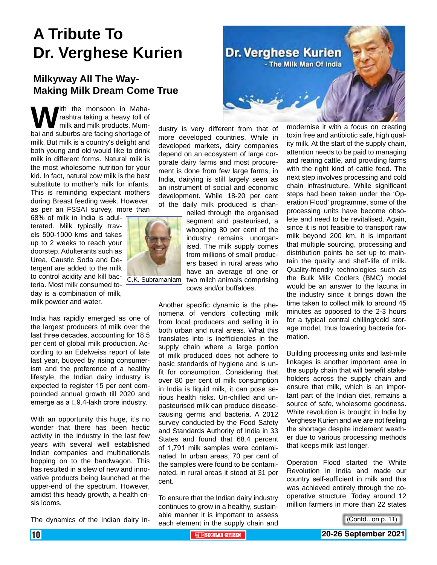### **A Tribute To Dr. Verghese Kurien**

### **Milkyway All The Way-Making Milk Dream Come True**

**W** ith the monsoon in Maha-<br>milk and milk products, Mum-<br>bai and suburbs are facing shortage of rashtra taking a heavy toll of milk and milk products, Mummilk. But milk is a country's delight and both young and old would like to drink milk in different forms. Natural milk is the most wholesome nutrition for your kid. In fact, natural cow milk is the best substitute to mother's milk for infants. This is reminding expectant mothers during Breast feeding week. However, as per an FSSAI survey, more than

68% of milk in India is adulterated. Milk typically travels 500-1000 kms and takes up to 2 weeks to reach your doorstep. Adulterants such as Urea, Caustic Soda and Detergent are added to the milk to control acidity and kill bacteria. Most milk consumed today is a combination of milk, milk powder and water.

India has rapidly emerged as one of the largest producers of milk over the last three decades, accounting for 18.5 per cent of global milk production. According to an Edelweiss report of late last year, buoyed by rising consumerism and the preference of a healthy lifestyle, the Indian dairy industry is expected to register 15 per cent compounded annual growth till 2020 and emerge as a  $\square$ 9.4-lakh crore industry.

With an opportunity this huge, it's no wonder that there has been hectic activity in the industry in the last few years with several well established Indian companies and multinationals hopping on to the bandwagon. This has resulted in a slew of new and innovative products being launched at the upper-end of the spectrum. However, amidst this heady growth, a health crisis looms.

The dynamics of the Indian dairy in-



dustry is very different from that of more developed countries. While in developed markets, dairy companies depend on an ecosystem of large corporate dairy farms and most procurement is done from few large farms, in India, dairying is still largely seen as an instrument of social and economic development. While 18-20 per cent of the daily milk produced is chan-

> nelled through the organised segment and pasteurised, a whopping 80 per cent of the industry remains unorganised. The milk supply comes from millions of small producers based in rural areas who have an average of one or two milch animals comprising cows and/or buffaloes.

Another specific dynamic is the phenomena of vendors collecting milk from local producers and selling it in both urban and rural areas. What this translates into is inefficiencies in the supply chain where a large portion of milk produced does not adhere to basic standards of hygiene and is unfit for consumption. Considering that over 80 per cent of milk consumption in India is liquid milk, it can pose serious health risks. Un-chilled and unpasteurised milk can produce diseasecausing germs and bacteria. A 2012 survey conducted by the Food Safety and Standards Authority of India in 33 States and found that 68.4 percent of 1,791 milk samples were contaminated. In urban areas, 70 per cent of the samples were found to be contaminated, in rural areas it stood at 31 per cent.

To ensure that the Indian dairy industry continues to grow in a healthy, sustainable manner it is important to assess each element in the supply chain and

modernise it with a focus on creating toxin free and antibiotic safe, high quality milk. At the start of the supply chain, attention needs to be paid to managing and rearing cattle, and providing farms with the right kind of cattle feed. The next step involves processing and cold chain infrastructure. While significant steps had been taken under the 'Operation Flood' programme, some of the processing units have become obsolete and need to be revitalised. Again, since it is not feasible to transport raw milk beyond 200 km, it is important that multiple sourcing, processing and distribution points be set up to maintain the quality and shelf-life of milk. Quality-friendly technologies such as the Bulk Milk Coolers (BMC) model would be an answer to the lacuna in the industry since it brings down the time taken to collect milk to around 45 minutes as opposed to the 2-3 hours for a typical central chilling/cold storage model, thus lowering bacteria formation.

Building processing units and last-mile linkages is another important area in the supply chain that will benefit stakeholders across the supply chain and ensure that milk, which is an important part of the Indian diet, remains a source of safe, wholesome goodness. White revolution is brought in India by Verghese Kurien and we are not feeling the shortage despite inclement weather due to various processing methods that keeps milk last longer.

Operation Flood started the White Revolution in India and made our country self-sufficient in milk and this was achieved entirely through the cooperative structure. Today around 12 million farmers in more than 22 states



C.K. Subramaniam

<sup>(</sup>Contd.. on p. 11)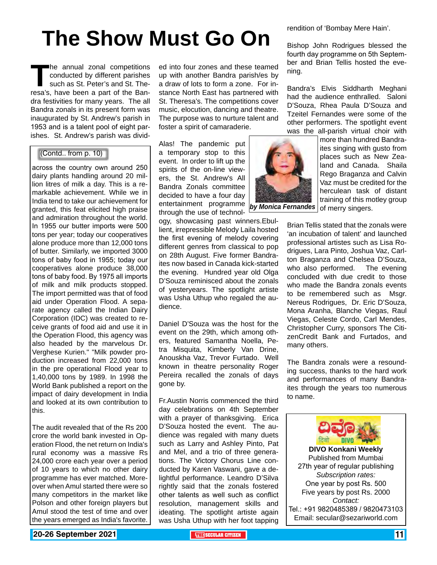## **The Show Must Go On**

The annual zonal competitions<br>
conducted by different parishes<br>
such as St. Peter's and St. The-<br>
resa's, have been a part of the Banconducted by different parishes such as St. Peter's and St. Thedra festivities for many years. The all Bandra zonals in its present form was inaugurated by St. Andrew's parish in 1953 and is a talent pool of eight parishes. St. Andrew's parish was divid-

### (Contd.. from p. 10)

across the country own around 250 dairy plants handling around 20 million litres of milk a day. This is a remarkable achievement. While we in India tend to take our achievement for granted, this feat elicited high praise and admiration throughout the world. In 1955 our butter imports were 500 tons per year; today our cooperatives alone produce more than 12,000 tons of butter. Similarly, we imported 3000 tons of baby food in 1955; today our cooperatives alone produce 38,000 tons of baby food. By 1975 all imports of milk and milk products stopped. The import permitted was that of food aid under Operation Flood. A separate agency called the Indian Dairy Corporation (IDC) was created to receive grants of food aid and use it in the Operation Flood, this agency was also headed by the marvelous Dr. Verghese Kurien." "Milk powder production increased from 22,000 tons in the pre operational Flood year to 1,40,000 tons by 1989. In 1998 the World Bank published a report on the impact of dairy development in India and looked at its own contribution to this.

The audit revealed that of the Rs 200 crore the world bank invested in Operation Flood, the net return on India's rural economy was a massive Rs 24,000 crore each year over a period of 10 years to which no other dairy programme has ever matched. Moreover when Amul started there were so many competitors in the market like Polson and other foreign players but Amul stood the test of time and over the years emerged as India's favorite.

ed into four zones and these teamed up with another Bandra parish/es by a draw of lots to form a zone. For instance North East has partnered with St. Theresa's. The competitions cover music, elocution, dancing and theatre. The purpose was to nurture talent and foster a spirit of camaraderie.

Alas! The pandemic put a temporary stop to this event. In order to lift up the spirits of the on-line viewers, the St. Andrew's All Bandra Zonals committee decided to have a four day entertainment programme *by Monica Fernandes* through the use of technol-

ogy, showcasing past winners.Ebullient, irrepressible Melody Laila hosted the first evening of melody covering different genres from classical to pop on 28th August. Five former Bandraites now based in Canada kick-started the evening. Hundred year old Olga D'Souza reminisced about the zonals of yesteryears. The spotlight artiste was Usha Uthup who regaled the audience.

Daniel D'Souza was the host for the event on the 29th, which among others, featured Samantha Noella, Petra Misquita, Kimberly Van Drine, Anouskha Vaz, Trevor Furtado. Well known in theatre personality Roger Pereira recalled the zonals of days gone by.

Fr.Austin Norris commenced the third day celebrations on 4th September with a prayer of thanksgiving. Erica D'Souza hosted the event. The audience was regaled with many duets such as Larry and Ashley Pinto, Pat and Mel, and a trio of three generations. The Victory Chorus Line conducted by Karen Vaswani, gave a delightful performance. Leandro D'Silva rightly said that the zonals fostered other talents as well such as conflict resolution, management skills and ideating. The spotlight artiste again was Usha Uthup with her foot tapping

rendition of 'Bombay Mere Hain'.

Bishop John Rodrigues blessed the fourth day programme on 5th September and Brian Tellis hosted the evening.

Bandra's Elvis Siddharth Meghani had the audience enthralled. Saloni D'Souza, Rhea Paula D'Souza and Tzeitel Fernandes were some of the other performers. The spotlight event was the all-parish virtual choir with

more than hundred Bandraites singing with gusto from places such as New Zealand and Canada. Shaila Rego Braganza and Calvin Vaz must be credited for the herculean task of distant training of this motley group of merry singers.

Brian Tellis stated that the zonals were 'an incubation of talent' and launched professional artistes such as Lisa Rodrigues, Lara Pinto, Joshua Vaz, Carlton Braganza and Chelsea D'Souza, who also performed. The evening concluded with due credit to those who made the Bandra zonals events to be remembered such as Msgr. Nereus Rodrigues, Dr. Eric D'Souza, Mona Aranha, Blanche Viegas, Raul Viegas, Celeste Cordo, Carl Mendes, Christopher Curry, sponsors The CitizenCredit Bank and Furtados, and many others.

The Bandra zonals were a resounding success, thanks to the hard work and performances of many Bandraites through the years too numerous to name.

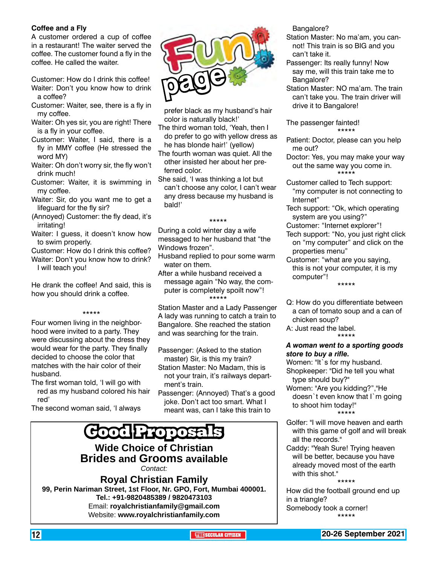### **Coffee and a Fly**

A customer ordered a cup of coffee in a restaurant! The waiter served the coffee. The customer found a fly in the coffee. He called the waiter.

Customer: How do I drink this coffee! Waiter: Don't you know how to drink a coffee?

- Customer: Waiter, see, there is a fly in my coffee.
- Waiter: Oh yes sir, you are right! There is a fly in your coffee.
- Customer: Waiter, I said, there is a fly in MMY coffee (He stressed the word MY)
- Waiter: Oh don't worry sir, the fly won't drink much!
- Customer: Waiter, it is swimming in my coffee.
- Waiter: Sir, do you want me to get a lifeguard for the fly sir?
- (Annoyed) Customer: the fly dead, it's irritating!
- Waiter: I guess, it doesn't know how to swim properly.
- Customer: How do I drink this coffee? Waiter: Don't you know how to drink? I will teach you!
- He drank the coffee! And said, this is

how you should drink a coffee.

#### \*\*\*\*\*

Four women living in the neighborhood were invited to a party. They were discussing about the dress they would wear for the party. They finally decided to choose the color that matches with the hair color of their husband.

The first woman told, 'I will go with red as my husband colored his hair red'

The second woman said, 'I always



prefer black as my husband's hair color is naturally black!'

- The third woman told, 'Yeah, then I do prefer to go with yellow dress as he has blonde hair!' (yellow)
- The fourth woman was quiet. All the other insisted her about her preferred color.
- She said, 'I was thinking a lot but can't choose any color, I can't wear any dress because my husband is bald!'

#### \*\*\*\*\*

During a cold winter day a wife messaged to her husband that "the Windows frozen".

- Husband replied to pour some warm water on them.
- After a while husband received a message again "No way, the computer is completely spoilt now"! \*\*\*\*\*

Station Master and a Lady Passenger A lady was running to catch a train to Bangalore. She reached the station and was searching for the train.

Passenger: (Asked to the station master) Sir, is this my train?

- Station Master: No Madam, this is not your train, it's railways department's train.
- Passenger: (Annoyed) That's a good joke. Don't act too smart. What I meant was, can I take this train to

### **Good Proposals**

**Wide Choice of Christian Brides and Grooms available** *Contact:*

**Royal Christian Family 99, Perin Nariman Street, 1st Floor, Nr. GPO, Fort, Mumbai 400001. Tel.: +91-9820485389 / 9820473103** Email: **royalchristianfamily@gmail.com** Website: **www.royalchristianfamily.com**

Bangalore?

- Station Master: No ma'am, you cannot! This train is so BIG and you can't take it.
- Passenger: Its really funny! Now say me, will this train take me to Bangalore?
- Station Master: NO ma'am. The train can't take you. The train driver will drive it to Bangalore!

The passenger fainted! \*\*\*\*\*

- Patient: Doctor, please can you help me out?
- Doctor: Yes, you may make your way out the same way you come in. \*\*\*\*\*
- Customer called to Tech support: "my computer is not connecting to Internet"
- Tech support: "Ok, which operating system are you using?"
- Customer: "Internet explorer"!
- Tech support: "No, you just right click on "my computer" and click on the properties menu"
- Customer: "what are you saying, this is not your computer, it is my computer"! \*\*\*\*\*
- Q: How do you differentiate between a can of tomato soup and a can of chicken soup?
- A: Just read the label. \*\*\*\*\*

### *A woman went to a sporting goods store to buy a rifle.*

- Women: "It`s for my husband. Shopkeeper: "Did he tell you what type should buy?"
- Women: "Are you kidding?","He doesn`t even know that I`m going to shoot him today!" \*\*\*\*\*
- Golfer: "I will move heaven and earth with this game of golf and will break all the records."
- Caddy: "Yeah Sure! Trying heaven will be better, because you have already moved most of the earth with this shot." \*\*\*\*\*

How did the football ground end up in a triangle? Somebody took a corner! \*\*\*\*\*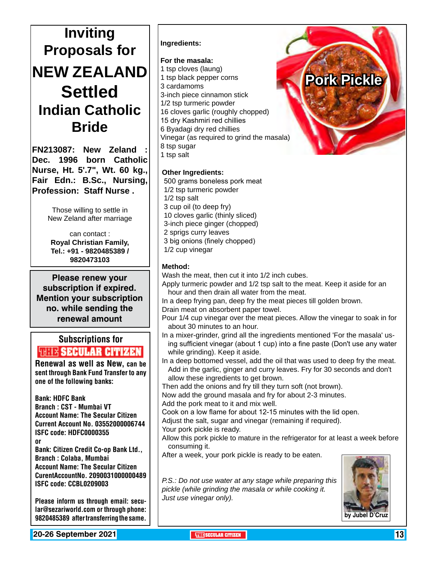### **Inviting Proposals for NEW ZEALAND Settled Indian Catholic Bride**

**FN213087: New Zeland : Dec. 1996 born Catholic Nurse, Ht. 5'.7", Wt. 60 kg., Fair Edn.: B.Sc., Nursing, Profession: Staff Nurse .**

> Those willing to settle in New Zeland after marriage

can contact : **Royal Christian Family, Tel.: +91 - 9820485389 / 9820473103**

**Please renew your subscription if expired. Mention your subscription no. while sending the renewal amount**

### Subscriptions for **RENEW SECULAR CITIZEN**<br>Renewal as well as New, can be

sent through Bank Fund Transfer to any one of the following banks:

Bank: HDFC Bank Branch : CST - Mumbai VT Account Name: The Secular Citizen Current Account No. 03552000006744 ISFC code: HDFC0000355 or Bank: Citizen Credit Co-op Bank Ltd., Branch : Colaba, Mumbai Account Name: The Secular Citizen CurentAccountNo. 2090031000000489

ISFC code: CCBL0209003

Please inform us through email: secular@sezariworld.com or through phone: 9820485389 after transferring the same.

**Ingredients:**

### **For the masala:**

1 tsp cloves (laung) 1 tsp black pepper corns 3 cardamoms 3-inch piece cinnamon stick 1/2 tsp turmeric powder 16 cloves garlic (roughly chopped) 15 dry Kashmiri red chillies 6 Byadagi dry red chillies Vinegar (as required to grind the masala) 8 tsp sugar 1 tsp salt

### **Other Ingredients:**

 500 grams boneless pork meat 1/2 tsp turmeric powder 1/2 tsp salt 3 cup oil (to deep fry) 10 cloves garlic (thinly sliced) 3-inch piece ginger (chopped) 2 sprigs curry leaves 3 big onions (finely chopped) 1/2 cup vinegar



### **Method:**

Wash the meat, then cut it into 1/2 inch cubes.

Apply turmeric powder and 1/2 tsp salt to the meat. Keep it aside for an hour and then drain all water from the meat.

In a deep frying pan, deep fry the meat pieces till golden brown. Drain meat on absorbent paper towel.

- Pour 1/4 cup vinegar over the meat pieces. Allow the vinegar to soak in for about 30 minutes to an hour.
- In a mixer-grinder, grind all the ingredients mentioned 'For the masala' using sufficient vinegar (about 1 cup) into a fine paste (Don't use any water while grinding). Keep it aside.
- In a deep bottomed vessel, add the oil that was used to deep fry the meat. Add in the garlic, ginger and curry leaves. Fry for 30 seconds and don't allow these ingredients to get brown.

Then add the onions and fry till they turn soft (not brown).

Now add the ground masala and fry for about 2-3 minutes.

Add the pork meat to it and mix well.

Cook on a low flame for about 12-15 minutes with the lid open.

Adjust the salt, sugar and vinegar (remaining if required).

Your pork pickle is ready.

Allow this pork pickle to mature in the refrigerator for at least a week before consuming it.

After a week, your pork pickle is ready to be eaten.

*P.S.: Do not use water at any stage while preparing this pickle (while grinding the masala or while cooking it. Just use vinegar only).*



**20-26 September 2021 THE THE SECULAR CITIZEN THE** SECULAR CITIZEN **13**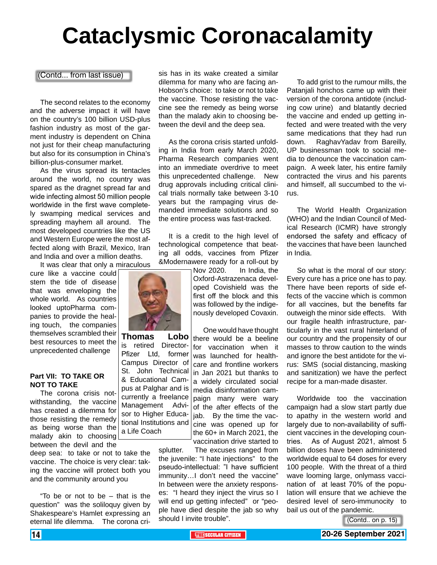# **Cataclysmic Coronacalamity**

(Contd... from last issue)

The second relates to the economy and the adverse impact it will have on the country's 100 billion USD-plus fashion industry as most of the garment industry is dependent on China not just for their cheap manufacturing but also for its consumption in China's billion-plus-consumer market.

As the virus spread its tentacles around the world, no country was spared as the dragnet spread far and wide infecting almost 50 million people worldwide in the first wave completely swamping medical services and spreading mayhem all around. The most developed countries like the US and Western Europe were the most affected along with Brazil, Mexico, Iran and India and over a million deaths.

It was clear that only a miraculous

cure like a vaccine could stem the tide of disease that was enveloping the whole world. As countries looked uptoPharma companies to provide the healing touch, the companies themselves scrambled their best resources to meet the unprecedented challenge

#### **Part VII: TO TAKE OR NOT TO TAKE**

The corona crisis notwithstanding, the vaccine has created a dilemma for those resisting the remedy as being worse than the malady akin to choosing between the devil and the

deep sea: to take or not to take the vaccine. The choice is very clear: taking the vaccine will protect both you and the community around you

"To be or not to be – that is the question" was the soliloquy given by Shakespeare's Hamlet expressing an eternal life dilemma. The corona crisis has in its wake created a similar dilemma for many who are facing an-Hobson's choice: to take or not to take the vaccine. Those resisting the vaccine see the remedy as being worse than the malady akin to choosing between the devil and the deep sea.

As the corona crisis started unfolding in India from early March 2020, Pharma Research companies went into an immediate overdrive to meet this unprecedented challenge. New drug approvals including critical clinical trials normally take between 3-10 years but the rampaging virus demanded immediate solutions and so the entire process was fast-tracked.

It is a credit to the high level of technological competence that beating all odds, vaccines from Pfizer &Modernawere ready for a roll-out by

> Nov 2020. In India, the Oxford-Astrazenaca developed Covishield was the first off the block and this was followed by the indigenously developed Covaxin.

One would have thought there would be a beeline for vaccination when it was launched for healthcare and frontline workers in Jan 2021 but thanks to a widely circulated social media disinformation campaign many were wary of the after effects of the jab. By the time the vaccine was opened up for the 60+ in March 2021, the vaccination drive started to

splutter. The excuses ranged from the juvenile: "I hate injections" to the pseudo-intellectual: "I have sufficient immunity…I don't need the vaccine" In between were the anxiety responses: "I heard they inject the virus so I will end up getting infected" or "people have died despite the jab so why should I invite trouble".

To add grist to the rumour mills, the Patanjali honchos came up with their version of the corona antidote (including cow urine) and blatantly decried the vaccine and ended up getting infected and were treated with the very same medications that they had run down. RaghavYadav from Bareilly, UP businessman took to social media to denounce the vaccination campaign. A week later, his entire family contracted the virus and his parents and himself, all succumbed to the virus.

The World Health Organization (WHO) and the Indian Council of Medical Research (ICMR) have strongly endorsed the safety and efficacy of the vaccines that have been launched in India.

So what is the moral of our story: Every cure has a price one has to pay. There have been reports of side effects of the vaccine which is common for all vaccines, but the benefits far outweigh the minor side effects. With our fragile health infrastructure, particularly in the vast rural hinterland of our country and the propensity of our masses to throw caution to the winds and ignore the best antidote for the virus: SMS (social distancing, masking and sanitization) we have the perfect recipe for a man-made disaster.

Worldwide too the vaccination campaign had a slow start partly due to apathy in the western world and largely due to non-availability of sufficient vaccines in the developing countries. As of August 2021, almost 5 billion doses have been administered worldwide equal to 64 doses for every 100 people. With the threat of a third wave looming large, onlymass vaccination of at least 70% of the population will ensure that we achieve the desired level of sero-immunocity to bail us out of the pandemic.

(Contd.. on p. 15)





**Thomas Lobo** is retired Director-

Pfizer Ltd, former Campus Director of St. John Technical & Educational Campus at Palghar and is currently a freelance Management Advisor to Higher Educational Institutions and a Life Coach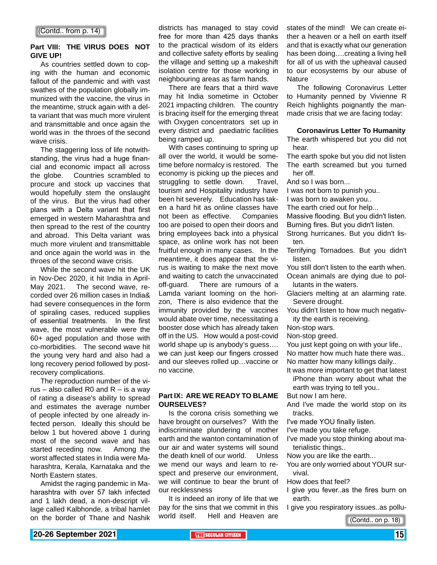#### **Part VIII: THE VIRUS DOES NOT GIVE UP!**

As countries settled down to coping with the human and economic fallout of the pandemic and with vast swathes of the population globally immunized with the vaccine, the virus in the meantime, struck again with a delta variant that was much more virulent and transmittable and once again the world was in the throes of the second wave crisis.

The staggering loss of life notwithstanding, the virus had a huge financial and economic impact all across the globe. Countries scrambled to procure and stock up vaccines that would hopefully stem the onslaught of the virus. But the virus had other plans with a Delta variant that first emerged in western Maharashtra and then spread to the rest of the country and abroad. This Delta variant was much more virulent and transmittable and once again the world was in the throes of the second wave crisis.

While the second wave hit the UK in Nov-Dec 2020, it hit India in April-May 2021. The second wave, recorded over 26 million cases in India& had severe consequences in the form of spiraling cases, reduced supplies of essential treatments. In the first wave, the most vulnerable were the 60+ aged population and those with co-morbidities. The second wave hit the young very hard and also had a long recovery period followed by postrecovery complications.

The reproduction number of the virus – also called R0 and  $R$  – is a way of rating a disease's ability to spread and estimates the average number of people infected by one already infected person. Ideally this should be below 1 but hovered above 1 during most of the second wave and has started receding now. Among the worst affected states in India were Maharashtra, Kerala, Karnataka and the North Eastern states.

Amidst the raging pandemic in Maharashtra with over 57 lakh infected and 1 lakh dead, a non-descript village called Kalbhonde, a tribal hamlet on the border of Thane and Nashik

districts has managed to stay covid free for more than 425 days thanks to the practical wisdom of its elders and collective safety efforts by sealing the village and setting up a makeshift isolation centre for those working in neighbouring areas as farm hands.

There are fears that a third wave may hit India sometime in October 2021 impacting children. The country is bracing itself for the emerging threat with Oxygen concentrators set up in every district and paediatric facilities being ramped up.

With cases continuing to spring up all over the world, it would be sometime before normalcy is restored. The economy is picking up the pieces and struggling to settle down. Travel, tourism and Hospitality industry have been hit severely. Education has taken a hard hit as online classes have not been as effective. Companies too are poised to open their doors and bring employees back into a physical space, as online work has not been fruitful enough in many cases. In the meantime, it does appear that the virus is waiting to make the next move and waiting to catch the unvaccinated off-guard. There are rumours of a Lamda variant looming on the horizon, There is also evidence that the immunity provided by the vaccines would abate over time, necessitating a booster dose which has already taken off in the US. How would a post-covid world shape up is anybody's guess…. we can just keep our fingers crossed and our sleeves rolled up…vaccine or no vaccine.

### **Part IX: ARE WE READY TO BLAME OURSELVES?**

Is the corona crisis something we have brought on ourselves? With the indiscriminate plundering of mother earth and the wanton contamination of our air and water systems will sound the death knell of our world. Unless we mend our ways and learn to respect and preserve our environment, we will continue to bear the brunt of our recklessness

It is indeed an irony of life that we pay for the sins that we commit in this world itself. Hell and Heaven are states of the mind! We can create either a heaven or a hell on earth itself and that is exactly what our generation has been doing….creating a living hell for all of us with the upheaval caused to our ecosystems by our abuse of **Nature** 

The following Coronavirus Letter to Humanity penned by Vivienne R Reich highlights poignantly the manmade crisis that we are facing today:

#### **Coronavirus Letter To Humanity**

The earth whispered but you did not hear.

The earth spoke but you did not listen The earth screamed but you turned her off.

And so I was born...

I was not born to punish you..

I was born to awaken you..

The earth cried out for help...

Massive flooding. But you didn't listen.

Burning fires. But you didn't listen.

Strong hurricanes. But you didn't listen.

Terrifying Tornadoes. But you didn't listen.

You still don't listen to the earth when. Ocean animals are dying due to pollutants in the waters.

Glaciers melting at an alarming rate. Severe drought.

You didn't listen to how much negativity the earth is receiving.

Non-stop wars.

Non-stop greed.

You just kept going on with your life.. No matter how much hate there was.. No matter how many killings daily..

It was more important to get that latest iPhone than worry about what the

earth was trying to tell you..

But now I am here.

And I've made the world stop on its tracks.

I've made YOU finally listen.

I've made you take refuge.

I've made you stop thinking about materialistic things..

Now you are like the earth...

You are only worried about YOUR survival.

How does that feel?

- I give you fever..as the fires burn on earth.
- I give you respiratory issues..as pollu-

(Contd.. on p. 18)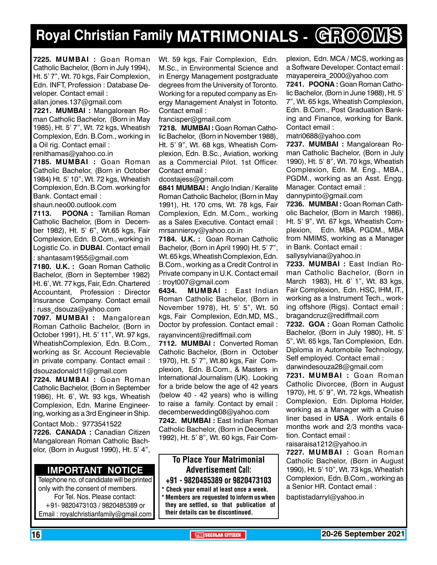## **Royal Christian Family MATRIMONIALS - GROOMS**

**7225. MUMBAI :** Goan Roman Catholic Bachelor, (Born in July 1994), Ht. 5' 7", Wt. 70 kgs, Fair Complexion, Edn. INFT, Profession : Database Developer. Contact email :

allan.jones.137@gmail.com

**7221. MUMBAI :** Mangalorean Roman Catholic Bachelor, (Born in May 1985), Ht. 5' 7", Wt. 72 kgs, Wheatish Complexion, Edn. B.Com., working in a Oil rig. Contact email :

renithamas@yahoo.co.in

**7185. MUMBAI :** Goan Roman Catholic Bachelor, (Born in October 1984) Ht. 5' 10", Wt. 72 kgs, Wheatish Complexion, Edn. B.Com. working for Bank. Contact email :

shaun.neo00.outlook.com

**7113. POONA :** Tamilian Roman Catholic Bachelor, (Born in December 1982), Ht. 5' 6", Wt.65 kgs, Fair Complexion, Edn. B.Com., working in Logistic Co. in **DUBAI**. Contact email

: shantasam1955@gmail.com

**7180. U.K. :** Goan Roman Catholic Bachelor, (Born in September 1982) Ht. 6', Wt. 77 kgs, Fair, Edn. Chartered Accountant, Profession : Director Insurance Company. Contact email : russ\_dsouza@yahoo.com

**7097. MUMBAI :** Mangalorean Roman Catholic Bachelor, (Born in October 1991), Ht. 5' 11", Wt. 97 kgs, WheatishComplexion, Edn. B.Com., working as Sr. Account Recievable in private company. Contact email : dsouzadonald11@gmail.com

**7224. MUMBAI :** Goan Roman Catholic Bachelor, (Born in September 1986), Ht. 6', Wt. 93 kgs, Wheatish Complexion, Edn. Marine Engineering, working as a 3rd Engineer in Ship.

Contact Mob.: 9773541522 **7226. CANADA :** Canadian Citizen Mangalorean Roman Catholic Bachelor, (Born in August 1990), Ht. 5' 4",

### **Important Notice**

Telephone no. of candidate will be printed only with the consent of members. For Tel. Nos. Please contact: +91- 9820473103 / 9820485389 or Email : royalchristianfamily@gmail.com

Wt. 59 kgs, Fair Complexion, Edn. M.Sc., in Environmental Science and in Energy Management postgraduate degrees from the University of Toronto. Working for a reputed company as Energy Management Analyst in Totonto. Contact email :

francisper@gmail.com

**7218. MUMBAI :** Goan Roman Catholic Bachelor, (Born in November 1988), Ht. 5' 9", Wt. 68 kgs, Wheatish Complexion, Edn. B.Sc., Aviation, working as a Commercial Pilot. 1st Officer. Contact email :

dcostajess@gmail.com

**6841 MuMBAI :** Anglo Indian / Keralite Roman Catholic Bachelor, (Born in May 1991), Ht. 170 cms, Wt. 78 kgs, Fair Complexion, Edn. M.Com., working as a Sales Executive. Contact email : mrsannieroy@yahoo.co.in

**7184. U.K. :** Goan Roman Catholic Bachelor, (Born in April 1990) Ht. 5' 7", Wt. 65 kgs, Wheatish Complexion, Edn. B.Com., working as a Credit Control in Private company in U.K. Contact email : troyt007@gmail.com

**6434. MUMBAI :** East Indian Roman Catholic Bachelor, (Born in November 1978), Ht. 5' 5", Wt. 50 kgs, Fair Complexion, Edn.MD, MS., Doctor by profession. Contact email : rayanvincent@rediffmail.com

**7112. MUMBAI :** Converted Roman Catholic Bachelor, (Born in October 1970), Ht. 5' 7", Wt.80 kgs, Fair Complexion, Edn. B.Com., & Masters in International Journalism (UK). Looking for a bride below the age of 42 years (below 40 - 42 years) who is willing to raise a family. Contact by email : decemberwedding08@yahoo.com

**7242. MUMBAI :** East Indian Roman Catholic Bachelor, (Born in December 1992), Ht. 5' 8", Wt. 60 kgs, Fair Com-

### To Place Your Matrimonial Advertisement Call:

+91 - 9820485389 or 9820473103

Check your email at least once a week. Members are requested to inform us when they are settled, so that publication of their details can be discontinued.

plexion, Edn. MCA / MCS, working as a Software Developer. Contact email : mayapereira\_2000@yahoo.com **7241. POONA :** Goan Roman Catholic Bachelor, (Born in June 1988), Ht. 5' 7", Wt. 65 kgs, Wheatish Complexion, Edn. B.Com., Post Graduation Banking and Finance, working for Bank. Contact email :

matri0688@yahoo.com

**7237. MUMBAI :** Mangalorean Roman Catholic Bachelor, (Born in July 1990), Ht. 5' 8", Wt. 70 kgs, Wheatish Complexion, Edn. M. Eng., MBA., PGDM., working as an Asst. Engg. Manager. Contact email : dannypinto@gmail.com

**7236. MUMBAI :** Goan Roman Catholic Bachelor, (Born in March 1986), Ht. 5' 9", Wt. 67 kgs, Wheatish Complexion, Edn. MBA. PGDM., MBA from NMIMS, working as a Manager in Bank. Contact email : sallysylviana@yahoo.in

**7233. MUMBAI :** East Indian Roman Catholic Bachelor, (Born in March 1983), Ht. 6' 1", Wt. 83 kgs, Fair Complexion, Edn. HSC, IHM, IT., working as a Instrument Tech., working offshore (Rigs). Contact email : bragandcruz@rediffmail.com

**7232. GOA :** Goan Roman Catholic Bachelor, (Born in July 1980), Ht. 5' 5", Wt. 65 kgs, Tan Complexion, Edn. Diploma in Automobile Technology, Self employed. Contact email : darwindesouza28@gmail.com

**7231. MUMBAI :** Goan Roman Catholic Divorcee, (Born in August 1970), Ht. 5' 9", Wt. 72 kgs, Wheatish Complexion, Edn. Diploma Holder, working as a Manager with a Cruise liner based in **USA** . Work entails 6 months work and 2/3 months vacation. Contact email :

raisaraisa1212@yahoo.in

**7227. MUMBAI :** Goan Roman Catholic Bachelor, (Born in August 1990), Ht. 5' 10", Wt. 73 kgs, Wheatish Complexion, Edn. B.Com., working as a Senior HR. Contact email :

baptistadarryl@yahoo.in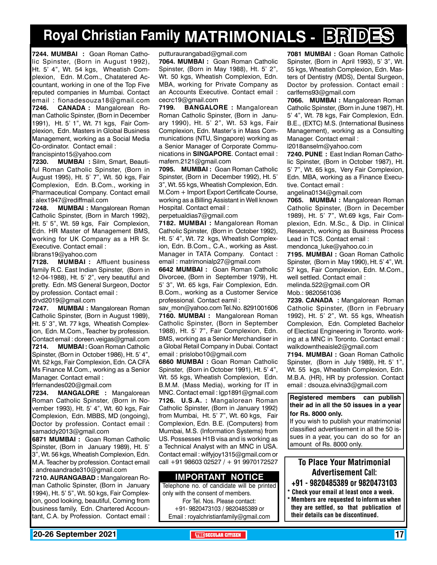### **Royal Christian Family MATRIMONIALS - BRIDES**

**7244. MUMBAI :** Goan Roman Catholic Spinster, (Born in August 1992), Ht. 5' 4", Wt. 54 kgs, Wheatish Complexion, Edn. M.Com., Chatatered Accountant, working in one of the Top Five reputed companies in Mumbai. Contact email : fionadesouza18@gmail.com **7246. CANADA :** Mangalorean Roman Catholic Spinster, (Born in December 1991), Ht. 5' 1", Wt. 71 kgs, Fair Complexion, Edn. Masters in Global Business Management, working as a Social Media Co-ordinator. Contact email :

francispinto15@yahoo.com

**7230. MUMBAI :** Silm, Smart, Beautiful Roman Catholic Spinster, (Born in August 1995), Ht. 5' 7", Wt. 50 kgs, Fair Complexion, Edn. B.Com., working in Pharmaceutical Company. Contact email alex1947@rediffmail.com

**7248. MUMBAI :** Mangalorean Roman Catholic Spinster, (Born in March 1992), Ht. 5' 5", Wt. 59 kgs, Fair Complexion, Edn. HR Master of Management BMS, working for UK Company as a HR Sr. Executive. Contact email :

librans19@yahoo.com

**7128. MUMBAI :** Affluent business family R.C. East Indian Spinster, (Born in 12-04-1988), Ht. 5' 2", very beautiful and pretty. Edn. MS General Surgeon, Doctor by profession. Contact email :

drvd2019@gmail.com

**7247. MUMBAI :** Mangalorean Roman Catholic Spinster, (Born in August 1989), Ht. 5' 3", Wt. 77 kgs, Wheatish Complexion, Edn. M.Com., Teacher by profession. Contact email : doreen.veigas@gmail.com **7214. MUMBAI :** Goan Roman Catholic Spinster, (Born in October 1986), Ht. 5' 4", Wt. 52 kgs, Fair Complexion, Edn. CA CFA Ms Finance M.Com., working as a Senior Manager. Contact email :

frfernandes020@gmail.com

**7234. MANGALORE :** Mangalorean Roman Catholic Spinster, (Born in November 1993), Ht. 5' 4", Wt. 60 kgs, Fair Complexion, Edn. MBBS, MD (ongoing), Doctor by profession. Contact email : samaddy2013@gmail.com

**6871 MUMBAI :** Goan Roman Catholic Spinster, (Born in January 1989), Ht. 5' 3", Wt. 56 kgs, Wheatish Complexion, Edn. M.A. Teacher by profession. Contact email : andreaandrade310@gmail.com

**7210. AURANGABAD :** Mangalorean Roman Catholic Spinster, (Born in January 1994), Ht. 5' 5", Wt. 50 kgs, Fair Complexion, good looking, beautiful, Coming from business family, Edn. Chartered Accountant, C.A. by Profession. Contact email :

putturaurangabad@gmail.com

**7064. MUMBAI :** Goan Roman Catholic Spinster, (Born in May 1988), Ht. 5' 2", Wt. 50 kgs, Wheatish Complexion, Edn. MBA, working for Private Company as an Accounts Executive. Contact email : cecrc19@gmail.com

**7199. BANGALORE :** Mangalorean Roman Catholic Spinster, (Born in January 1990), Ht. 5' 2", Wt. 53 kgs, Fair Complexion, Edn. Master's in Mass Communications (NTU, Singapore) working as a Senior Manager of Corporate Communications in **SINGAPORE**. Contact email : mafern.2121@gmail.com

**7095. MUMBAI :** Goan Roman Catholic Spinster, (Born in December 1992), Ht. 5' 3", Wt. 55 kgs, Wheatish Complexion, Edn. M.Com + Import Export Certificate Course, working as a Billing Assistant in Well known Hospital. Contact email :

perpetualdias7@gmail.com

**7182. MUMBAI :** Mangalorean Roman Catholic Spinster, (Born in October 1992), Ht. 5' 4", Wt. 72 kgs, Wheatish Complexion, Edn. B.Com., C.A., working as Asst. Manager in TATA Company. Contact : email : matrimonialp27@gmail.com

**6642 MUMBAI :** Goan Roman Catholic Divorcee, (Born in September 1979), Ht. 5' 3", Wt. 65 kgs, Fair Complexion, Edn. B.Com., working as a Customer Service professional. Contact eamil :

sav\_mon@yahoo.com Tel.No. 8291001606 **7160. MUMBAI :** Mangalorean Roman Catholic Spinster, (Born in September 1988), Ht. 5' 7", Fair Complexion, Edn. BMS, working as a Senior Merchandiser in a Global Retail Company in Dubai. Contact email : prislobo10@gmail.com

**6860 MUMBAI :** Goan Roman Catholic Spinster, (Born in October 1991), Ht. 5' 4", Wt. 55 kgs, Wheatish Complexion, Edn. B.M.M. (Mass Media), working for IT in MNC. Contact email : lgp1891@gmail.com **7126. U.S.A. :** Mangalorean Roman Catholic Spinster, (Born in January 1992) from Mumbai, Ht. 5' 7", Wt. 60 kgs, Fair Complexion, Edn. B.E. (Computers) from Mumbai, M.S. (Information Systems) from US. Possesses H1B visa and is working as a Technical Analyst with an MNC in USA. Contact email : wilfyjoy1315@gmail.com or call +91 98603 02527 / + 91 9970172527

### **Important Notice**

Telephone no. of candidate will be printed only with the consent of members. For Tel. Nos. Please contact: +91- 9820473103 / 9820485389 or Email : royalchristianfamily@gmail.com

**7081 MUMBAI :** Goan Roman Catholic Spinster, (Born in April 1993), 5' 3", Wt. 55 kgs, Wheatish Complexion, Edn. Masters of Dentistry (MDS), Dental Surgeon, Doctor by profession. Contact email : carlferns93@gmail.com

**7066. MUMBAI :** Mangalorean Roman Catholic Spinster, (Born in June 1987), Ht. 5' 4", Wt. 78 kgs, Fair Complexion, Edn. B.E., (EXTC) M.S. (International Business Management), working as a Consulting Manager. Contact email :

l2018anselm@yahoo.com

**7240. PUNE :** East Indian Roman Catholic Spinster, (Born in October 1987), Ht. 5' 7", Wt. 65 kgs, Very Fair Complexion, Edn. MBA, working as a Finance Executive. Contact email :

angelina0134@gmail.com

**7065. MUMBAI :** Mangalorean Roman Catholic Spinster, (Born in December 1989), Ht. 5' 7", Wt.69 kgs, Fair Complexion, Edn. M.Sc., & Dip. in Clinical Research, working as Business Process Lead in TCS. Contact email :

mendonca\_luke@yahoo.co.in **7195. MUMBAI :** Goan Roman Catholic Spinster, (Born in May 1990), Ht. 5' 4", Wt. 57 kgs, Fair Complexion, Edn. M.Com.,

well settled. Contact email :

melinda.522@gmail.com OR Mob.: 9820561036

**7239. CANADA :** Mangalorean Roman Catholic Spinster, (Born in February 1992), Ht. 5' 2", Wt. 55 kgs, Wheatish Complexion, Edn. Completed Bachelor of Electical Engineering in Toronto. working at a MNC in Toronto. Contact email :

walkdowntheaisle2@gmail.com **7194. MUMBAI :** Goan Roman Catholic Spinster, (Born in July 1989), Ht. 5' 1", Wt. 55 kgs, Wheatish Complexion, Edn. M.B.A. (HR), HR by profession. Contact email : dsouza.elvina3@gmail.com

**Registered members can publish their ad in all the 50 issues in a year for Rs. 8000 only.**

If you wish to publish your matrimonial classified advertisement in all the 50 issues in a year, you can do so for an amount of Rs. 8000 only.

### To Place Your Matrimonial Advertisement Call:

- +91 9820485389 or 9820473103
- Check your email at least once a week. Members are requested to inform us when they are settled, so that publication of their details can be discontinued.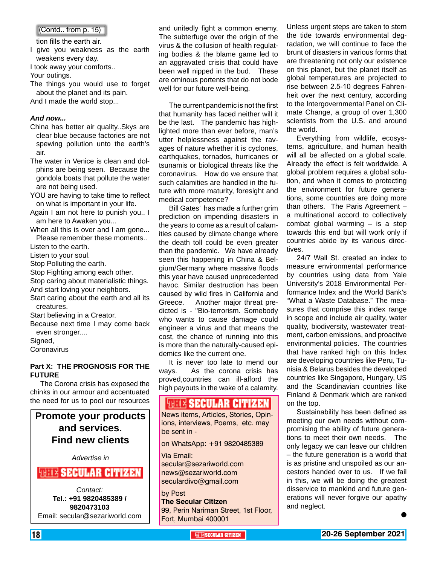(Contd.. from p. 15)

tion fills the earth air.

- I give you weakness as the earth weakens every day.
- I took away your comforts..

Your outings.

The things you would use to forget about the planet and its pain. And I made the world stop...

#### *And now...*

- China has better air quality..Skys are clear blue because factories are not spewing pollution unto the earth's air.
- The water in Venice is clean and dolphins are being seen. Because the gondola boats that pollute the water are not being used.
- YOU are having to take time to reflect on what is important in your life.
- Again I am not here to punish you.. I am here to Awaken you...
- When all this is over and I am gone... Please remember these moments..
- Listen to the earth.
- Listen to your soul.
- Stop Polluting the earth.

Stop Fighting among each other.

Stop caring about materialistic things. And start loving your neighbors.

Start caring about the earth and all its creatures.

Start believing in a Creator.

Because next time I may come back even stronger....

Signed,

**Coronavirus** 

### **Part X: THE PROGNOSIS FOR THE FUTURE**

The Corona crisis has exposed the chinks in our armour and accentuated the need for us to pool our resources

**Promote your products and services. Find new clients**

*Advertise in*

### **WHIS SECULAR CITIZEN**

*Contact:* **Tel.: +91 9820485389 / 9820473103** Email: secular@sezariworld.com and unitedly fight a common enemy. The subterfuge over the origin of the virus & the collusion of health regulating bodies & the blame game led to an aggravated crisis that could have been well nipped in the bud. These are ominous portents that do not bode well for our future well-being.

The current pandemic is not the first that humanity has faced neither will it be the last. The pandemic has highlighted more than ever before, man's utter helplessness against the ravages of nature whether it is cyclones, earthquakes, tornados, hurricanes or tsunamis or biological threats like the coronavirus. How do we ensure that such calamities are handled in the future with more maturity, foresight and medical competence?

Bill Gates' has made a further grim prediction on impending disasters in the years to come as a result of calamities caused by climate change where the death toll could be even greater than the pandemic. We have already seen this happening in China & Belgium/Germany where massive floods this year have caused unprecedented havoc. Similar destruction has been caused by wild fires in California and Greece. Another major threat predicted is - "Bio-terrorism. Somebody who wants to cause damage could engineer a virus and that means the cost, the chance of running into this is more than the naturally-caused epidemics like the current one.

It is never too late to mend our ways. As the corona crisis has proved,countries can ill-afford the high payouts in the wake of a calamity.

### **FRITE SECULAR CITIZEN**

News items, Articles, Stories, Opinions, interviews, Poems, etc. may be sent in -

on WhatsApp: +91 9820485389

Via Email: secular@sezariworld.com news@sezariworld.com seculardivo@gmail.com

by Post **The Secular Citizen** 99, Perin Nariman Street, 1st Floor, Fort, Mumbai 400001

Unless urgent steps are taken to stem the tide towards environmental degradation, we will continue to face the brunt of disasters in various forms that are threatening not only our existence on this planet, but the planet itself as global temperatures are projected to rise between 2.5-10 degrees Fahrenheit over the next century, according to the Intergovernmental Panel on Climate Change, a group of over 1,300 scientists from the U.S. and around the world.

Everything from wildlife, ecosystems, agriculture, and human health will all be affected on a global scale. Already the effect is felt worldwide. A global problem requires a global solution, and when it comes to protecting the environment for future generations, some countries are doing more than others. The Paris Agreement – a multinational accord to collectively combat global warming – is a step towards this end but will work only if countries abide by its various directives.

24/7 Wall St. created an index to measure environmental performance by countries using data from Yale University's 2018 Environmental Performance Index and the World Bank's "What a Waste Database." The measures that comprise this index range in scope and include air quality, water quality, biodiversity, wastewater treatment, carbon emissions, and proactive environmental policies. The countries that have ranked high on this Index are developing countries like Peru, Tunisia & Belarus besides the developed countries like Singapore, Hungary, US and the Scandinavian countries like Finland & Denmark which are ranked on the top.

Sustainability has been defined as meeting our own needs without compromising the ability of future generations to meet their own needs. The only legacy we can leave our children – the future generation is a world that is as pristine and unspoiled as our ancestors handed over to us. If we fail in this, we will be doing the greatest disservice to mankind and future generations will never forgive our apathy and neglect.

 $\bullet$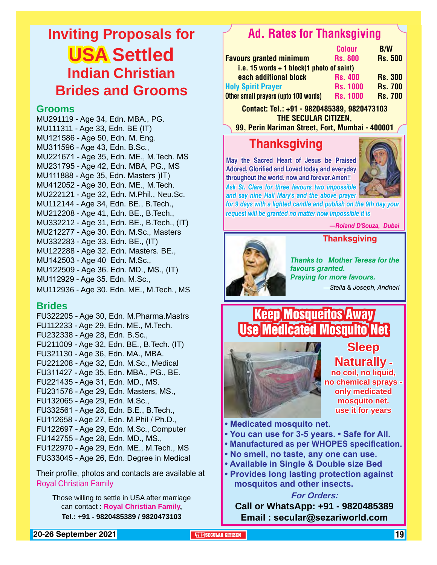### **Inviting Proposals for USA Settled Indian Christian Brides and Grooms**

### **Grooms**

MU291119 - Age 34, Edn. MBA., PG. MU111311 - Age 33, Edn. BE (IT) MU121586 - Age 50, Edn. M. Eng. MU311596 - Age 43, Edn. B.Sc., MU221671 - Age 35, Edn. ME., M.Tech. MS MU231795 - Age 42, Edn. MBA, PG., MS MU111888 - Age 35, Edn. Masters )IT) MU412052 - Age 30, Edn. ME., M.Tech. MU222121 - Age 32, Edn. M.Phil., Neu.Sc. MU112144 - Age 34, Edn. BE., B.Tech., MU212208 - Age 41, Edn. BE., B.Tech., MU332212 - Age 31, Edn. BE., B.Tech., (IT) MU212277 - Age 30. Edn. M.Sc., Masters MU332283 - Age 33. Edn. BE., (IT) MU122288 - Age 32. Edn. Masters. BE., MU142503 - Age 40 Edn. M.Sc., MU122509 - Age 36. Edn. MD., MS., (IT) MU112929 - Age 35. Edn. M.Sc., MU112936 - Age 30. Edn. ME., M.Tech., MS

### **Brides**

FU322205 - Age 30, Edn. M.Pharma.Mastrs FU112233 - Age 29, Edn. ME., M.Tech. FU232338 - Age 28, Edn. B.Sc., FU211009 - Age 32, Edn. BE., B.Tech. (IT) FU321130 - Age 36, Edn. MA., MBA. FU221208 - Age 32, Edn. M.Sc., Medical FU311427 - Age 35, Edn. MBA., PG., BE. FU221435 - Age 31, Edn. MD., MS. FU231576 - Age 29, Edn. Masters, MS., FU132065 - Age 29, Edn. M.Sc., FU332561 - Age 28, Edn. B.E., B.Tech., FU112658 - Age 27, Edn. M.Phil / Ph.D., FU122697 - Age 29, Edn. M.Sc., Computer FU142755 - Age 28, Edn. MD., MS., FU122970 - Age 29, Edn. ME., M.Tech., MS FU333045 - Age 26, Edn. Degree in Medical

Their profile, photos and contacts are available at Royal Christian Family

Those willing to settle in USA after marriage can contact : **Royal Christian Family, Tel.: +91 - 9820485389 / 9820473103**

### Ad. Rates for Thanksgiving

| <b>Colour</b>                               | <b>B/W</b>     |  |  |  |  |
|---------------------------------------------|----------------|--|--|--|--|
| <b>Rs. 800</b>                              | <b>Rs. 500</b> |  |  |  |  |
| i.e. 15 words $+$ 1 block(1 photo of saint) |                |  |  |  |  |
| <b>Rs. 400</b>                              | <b>Rs. 300</b> |  |  |  |  |
| <b>Rs. 1000</b>                             | <b>Rs. 700</b> |  |  |  |  |
| <b>Rs. 1000</b>                             | <b>Rs. 700</b> |  |  |  |  |
|                                             |                |  |  |  |  |

Contact: Tel.: +91 - 9820485389, 9820473103 THE SECULAR CITIZEN,

99, Perin Nariman Street, Fort, Mumbai - 400001

### **Thanksgiving**

**May the Sacred Heart of Jesus be Praised Adored, Glorified and Loved today and everyday throughout the world, now and forever.Amen!!** *Ask St. Clare for three favours two impossible and say nine Hail Mary's and the above prayer* 



*for 9 days with a lighted candle and publish on the 9th day your request will be granted no matter how impossible it is*

*—Roland D'Souza, Dubai*



*Thanks to Mother Teresa for the favours granted. Praying for more favours. —Stella & Joseph, Andheri*

**Thanksgiving**

### Keep Mosqueitos Away Use Medicated Mosquito Net



### **Sleep Naturally no coil, no liquid, no chemical sprays only medicated**

**mosquito net. use it for years**

**• Medicated mosquito net.**

- **You can use for 3-5 years. Safe for All.**
- **Manufactured as per WHOPES specification.**
- **No smell, no taste, any one can use.**
- **Available in Single & Double size Bed**
- **Provides long lasting protection against mosquitos and other insects.**

### **For Orders:**

**Call or WhatsApp: +91 - 9820485389 Email : secular@sezariworld.com**